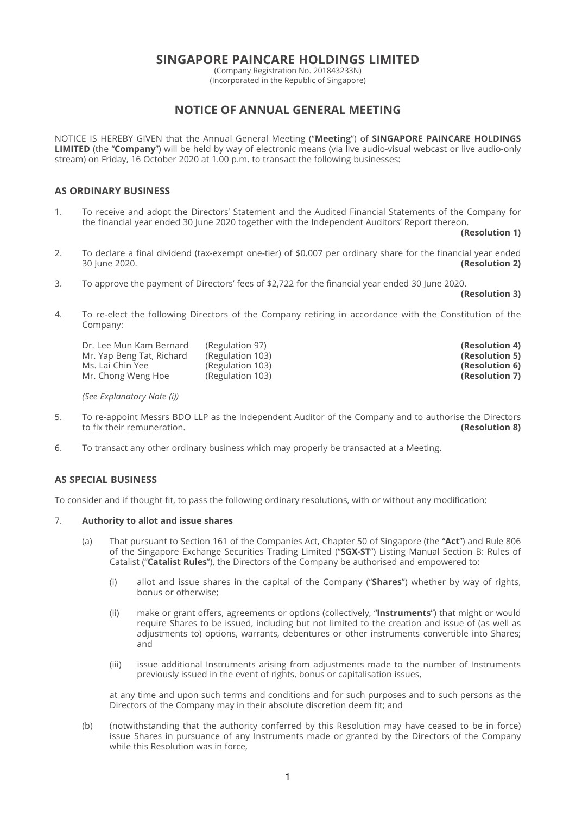# **SINGAPORE PAINCARE HOLDINGS LIMITED**

(Company Registration No. 201843233N) (Incorporated in the Republic of Singapore)

# **NOTICE OF ANNUAL GENERAL MEETING**

NOTICE IS HEREBY GIVEN that the Annual General Meeting ("**Meeting**") of **SINGAPORE PAINCARE HOLDINGS LIMITED** (the "**Company**") will be held by way of electronic means (via live audio-visual webcast or live audio-only stream) on Friday, 16 October 2020 at 1.00 p.m. to transact the following businesses:

# **AS ORDINARY BUSINESS**

1. To receive and adopt the Directors' Statement and the Audited Financial Statements of the Company for the financial year ended 30 June 2020 together with the Independent Auditors' Report thereon.

**(Resolution 1)**

- 2. To declare a final dividend (tax-exempt one-tier) of \$0.007 per ordinary share for the financial year ended 30 June 2020. **(Resolution 2)**
- 3. To approve the payment of Directors' fees of \$2,722 for the financial year ended 30 June 2020.

**(Resolution 3)**

4. To re-elect the following Directors of the Company retiring in accordance with the Constitution of the Company:

| Dr. Lee Mun Kam Bernard   | (Regulation 97)  | (Resolution 4) |
|---------------------------|------------------|----------------|
| Mr. Yap Beng Tat, Richard | (Regulation 103) | (Resolution 5) |
| Ms. Lai Chin Yee          | (Regulation 103) | (Resolution 6) |
| Mr. Chong Weng Hoe        | (Regulation 103) | (Resolution 7) |

 *(See Explanatory Note (i))*

- 5. To re-appoint Messrs BDO LLP as the Independent Auditor of the Company and to authorise the Directors to fix their remuneration. to fix their remuneration.
- 6. To transact any other ordinary business which may properly be transacted at a Meeting.

# **AS SPECIAL BUSINESS**

To consider and if thought fit, to pass the following ordinary resolutions, with or without any modification:

# 7. **Authority to allot and issue shares**

- (a) That pursuant to Section 161 of the Companies Act, Chapter 50 of Singapore (the "**Act**") and Rule 806 of the Singapore Exchange Securities Trading Limited ("**SGX-ST**") Listing Manual Section B: Rules of Catalist ("**Catalist Rules**"), the Directors of the Company be authorised and empowered to:
	- (i) allot and issue shares in the capital of the Company ("**Shares**") whether by way of rights, bonus or otherwise;
	- (ii) make or grant offers, agreements or options (collectively, "**Instruments**") that might or would require Shares to be issued, including but not limited to the creation and issue of (as well as adjustments to) options, warrants, debentures or other instruments convertible into Shares; and
	- (iii) issue additional Instruments arising from adjustments made to the number of Instruments previously issued in the event of rights, bonus or capitalisation issues,

 at any time and upon such terms and conditions and for such purposes and to such persons as the Directors of the Company may in their absolute discretion deem fit; and

 (b) (notwithstanding that the authority conferred by this Resolution may have ceased to be in force) issue Shares in pursuance of any Instruments made or granted by the Directors of the Company while this Resolution was in force,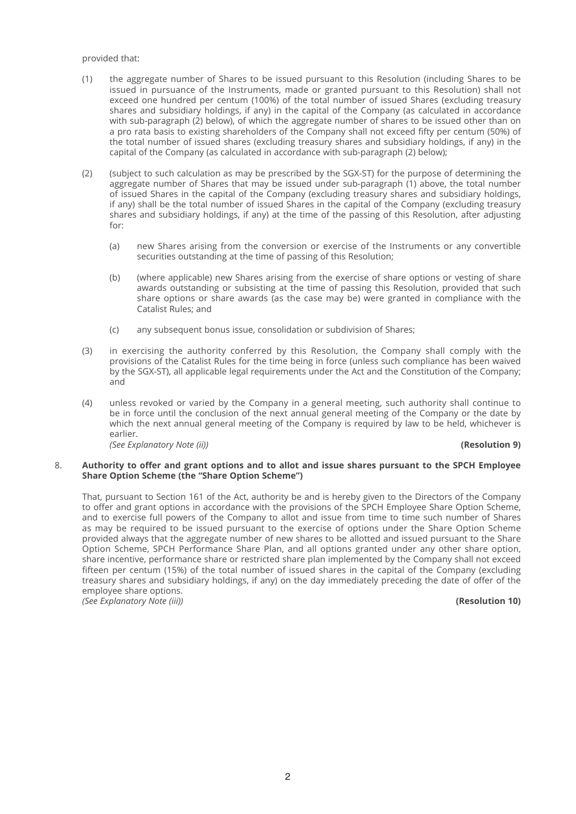## provided that:

- (1) the aggregate number of Shares to be issued pursuant to this Resolution (including Shares to be issued in pursuance of the Instruments, made or granted pursuant to this Resolution) shall not exceed one hundred per centum (100%) of the total number of issued Shares (excluding treasury shares and subsidiary holdings, if any) in the capital of the Company (as calculated in accordance with sub-paragraph (2) below), of which the aggregate number of shares to be issued other than on a pro rata basis to existing shareholders of the Company shall not exceed fifty per centum (50%) of the total number of issued shares (excluding treasury shares and subsidiary holdings, if any) in the capital of the Company (as calculated in accordance with sub-paragraph (2) below);
- (2) (subject to such calculation as may be prescribed by the SGX-ST) for the purpose of determining the aggregate number of Shares that may be issued under sub-paragraph (1) above, the total number of issued Shares in the capital of the Company (excluding treasury shares and subsidiary holdings, if any) shall be the total number of issued Shares in the capital of the Company (excluding treasury shares and subsidiary holdings, if any) at the time of the passing of this Resolution, after adjusting for:
	- (a) new Shares arising from the conversion or exercise of the Instruments or any convertible securities outstanding at the time of passing of this Resolution;
	- (b) (where applicable) new Shares arising from the exercise of share options or vesting of share awards outstanding or subsisting at the time of passing this Resolution, provided that such share options or share awards (as the case may be) were granted in compliance with the Catalist Rules; and
	- (c) any subsequent bonus issue, consolidation or subdivision of Shares;
- (3) in exercising the authority conferred by this Resolution, the Company shall comply with the provisions of the Catalist Rules for the time being in force (unless such compliance has been waived by the SGX-ST), all applicable legal requirements under the Act and the Constitution of the Company; and
- (4) unless revoked or varied by the Company in a general meeting, such authority shall continue to be in force until the conclusion of the next annual general meeting of the Company or the date by which the next annual general meeting of the Company is required by law to be held, whichever is earlier.

*(See Explanatory Note (ii))* **(Resolution 9)**

## 8. **Authority to off er and grant options and to allot and issue shares pursuant to the SPCH Employee Share Option Scheme (the "Share Option Scheme")**

 That, pursuant to Section 161 of the Act, authority be and is hereby given to the Directors of the Company to offer and grant options in accordance with the provisions of the SPCH Employee Share Option Scheme, and to exercise full powers of the Company to allot and issue from time to time such number of Shares as may be required to be issued pursuant to the exercise of options under the Share Option Scheme provided always that the aggregate number of new shares to be allotted and issued pursuant to the Share Option Scheme, SPCH Performance Share Plan, and all options granted under any other share option, share incentive, performance share or restricted share plan implemented by the Company shall not exceed fifteen per centum (15%) of the total number of issued shares in the capital of the Company (excluding treasury shares and subsidiary holdings, if any) on the day immediately preceding the date of offer of the employee share options. *(See Explanatory Note (iii))* **(Resolution 10)**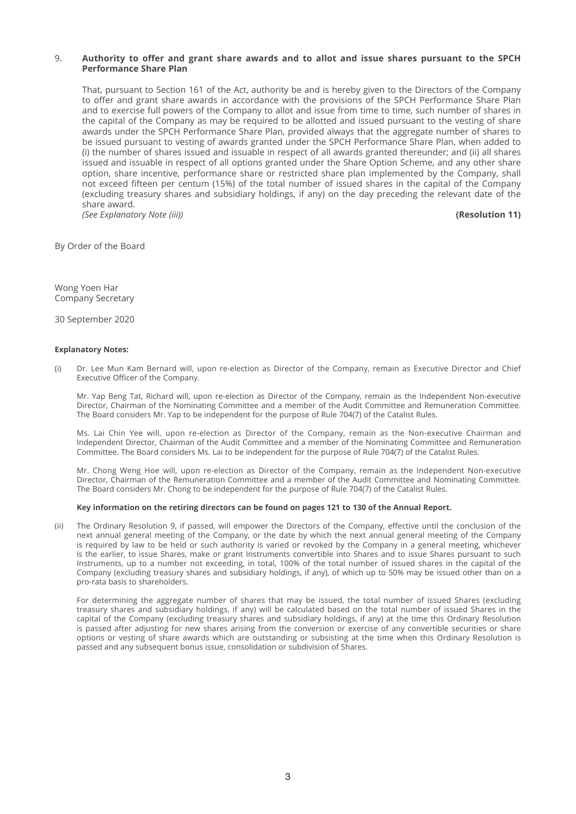# 9. Authority to offer and grant share awards and to allot and issue shares pursuant to the SPCH **Performance Share Plan**

 That, pursuant to Section 161 of the Act, authority be and is hereby given to the Directors of the Company to offer and grant share awards in accordance with the provisions of the SPCH Performance Share Plan and to exercise full powers of the Company to allot and issue from time to time, such number of shares in the capital of the Company as may be required to be allotted and issued pursuant to the vesting of share awards under the SPCH Performance Share Plan, provided always that the aggregate number of shares to be issued pursuant to vesting of awards granted under the SPCH Performance Share Plan, when added to (i) the number of shares issued and issuable in respect of all awards granted thereunder; and (ii) all shares issued and issuable in respect of all options granted under the Share Option Scheme, and any other share option, share incentive, performance share or restricted share plan implemented by the Company, shall not exceed fifteen per centum (15%) of the total number of issued shares in the capital of the Company (excluding treasury shares and subsidiary holdings, if any) on the day preceding the relevant date of the share award. *(See Explanatory Note (iii))* **(Resolution 11)**

By Order of the Board

Wong Yoen Har Company Secretary

30 September 2020

### **Explanatory Notes:**

(i) Dr. Lee Mun Kam Bernard will, upon re-election as Director of the Company, remain as Executive Director and Chief Executive Officer of the Company.

 Mr. Yap Beng Tat, Richard will, upon re-election as Director of the Company, remain as the Independent Non-executive Director, Chairman of the Nominating Committee and a member of the Audit Committee and Remuneration Committee. The Board considers Mr. Yap to be independent for the purpose of Rule 704(7) of the Catalist Rules.

 Ms. Lai Chin Yee will, upon re-election as Director of the Company, remain as the Non-executive Chairman and Independent Director, Chairman of the Audit Committee and a member of the Nominating Committee and Remuneration Committee. The Board considers Ms. Lai to be independent for the purpose of Rule 704(7) of the Catalist Rules.

 Mr. Chong Weng Hoe will, upon re-election as Director of the Company, remain as the Independent Non-executive Director, Chairman of the Remuneration Committee and a member of the Audit Committee and Nominating Committee. The Board considers Mr. Chong to be independent for the purpose of Rule 704(7) of the Catalist Rules.

#### **Key information on the retiring directors can be found on pages 121 to 130 of the Annual Report.**

(ii) The Ordinary Resolution 9, if passed, will empower the Directors of the Company, effective until the conclusion of the next annual general meeting of the Company, or the date by which the next annual general meeting of the Company is required by law to be held or such authority is varied or revoked by the Company in a general meeting, whichever is the earlier, to issue Shares, make or grant Instruments convertible into Shares and to issue Shares pursuant to such Instruments, up to a number not exceeding, in total, 100% of the total number of issued shares in the capital of the Company (excluding treasury shares and subsidiary holdings, if any), of which up to 50% may be issued other than on a pro-rata basis to shareholders.

 For determining the aggregate number of shares that may be issued, the total number of issued Shares (excluding treasury shares and subsidiary holdings, if any) will be calculated based on the total number of issued Shares in the capital of the Company (excluding treasury shares and subsidiary holdings, if any) at the time this Ordinary Resolution is passed after adjusting for new shares arising from the conversion or exercise of any convertible securities or share options or vesting of share awards which are outstanding or subsisting at the time when this Ordinary Resolution is passed and any subsequent bonus issue, consolidation or subdivision of Shares.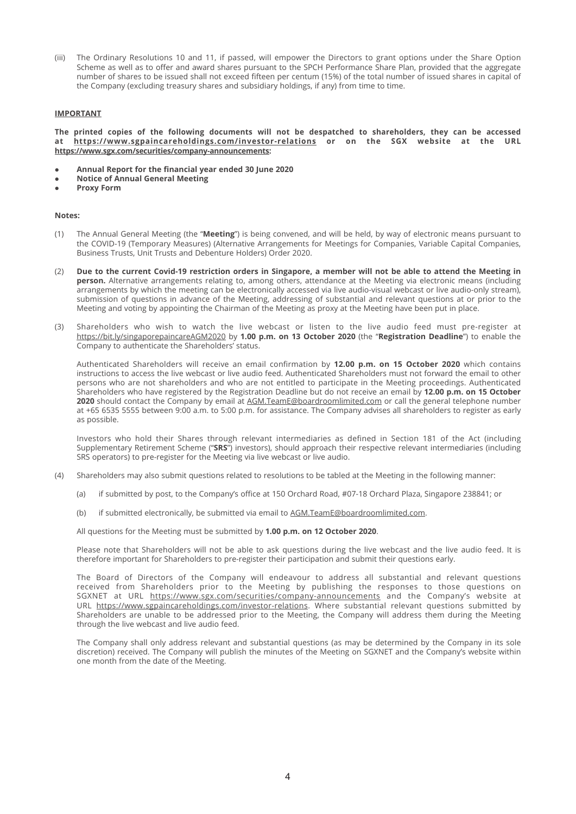(iii) The Ordinary Resolutions 10 and 11, if passed, will empower the Directors to grant options under the Share Option Scheme as well as to offer and award shares pursuant to the SPCH Performance Share Plan, provided that the aggregate number of shares to be issued shall not exceed fifteen per centum (15%) of the total number of issued shares in capital of the Company (excluding treasury shares and subsidiary holdings, if any) from time to time.

#### **IMPORTANT**

**The printed copies of the following documents will not be despatched to shareholders, they can be accessed at https:// www.sgpaincareholdings.com/investor-relations or on the SGX website at the URL https://www.sgx.com/securities/company-announcements:**

- **Annual Report for the financial year ended 30 June 2020**
- **Notice of Annual General Meeting**
- **Proxy Form**

#### **Notes:**

- (1) The Annual General Meeting (the "**Meeting**") is being convened, and will be held, by way of electronic means pursuant to the COVID-19 (Temporary Measures) (Alternative Arrangements for Meetings for Companies, Variable Capital Companies, Business Trusts, Unit Trusts and Debenture Holders) Order 2020.
- (2) **Due to the current Covid-19 restriction orders in Singapore, a member will not be able to attend the Meeting in person.** Alternative arrangements relating to, among others, attendance at the Meeting via electronic means (including arrangements by which the meeting can be electronically accessed via live audio-visual webcast or live audio-only stream), submission of questions in advance of the Meeting, addressing of substantial and relevant questions at or prior to the Meeting and voting by appointing the Chairman of the Meeting as proxy at the Meeting have been put in place.
- (3) Shareholders who wish to watch the live webcast or listen to the live audio feed must pre-register at https://bit.ly/singaporepaincareAGM2020 by **1.00 p.m. on 13 October 2020** (the "**Registration Deadline**") to enable the Company to authenticate the Shareholders' status.

Authenticated Shareholders will receive an email confirmation by 12.00 p.m. on 15 October 2020 which contains instructions to access the live webcast or live audio feed. Authenticated Shareholders must not forward the email to other persons who are not shareholders and who are not entitled to participate in the Meeting proceedings. Authenticated Shareholders who have registered by the Registration Deadline but do not receive an email by **12.00 p.m. on 15 October 2020** should contact the Company by email at AGM.TeamE@boardroomlimited.com or call the general telephone number at +65 6535 5555 between 9:00 a.m. to 5:00 p.m. for assistance. The Company advises all shareholders to register as early as possible.

 Investors who hold their Shares through relevant intermediaries as defined in Section 181 of the Act (including Supplementary Retirement Scheme ("**SRS**") investors), should approach their respective relevant intermediaries (including SRS operators) to pre-register for the Meeting via live webcast or live audio.

- (4) Shareholders may also submit questions related to resolutions to be tabled at the Meeting in the following manner:
	- (a) if submitted by post, to the Company's office at 150 Orchard Road, #07-18 Orchard Plaza, Singapore 238841; or
	- (b) if submitted electronically, be submitted via email to AGM.TeamE@boardroomlimited.com.

All questions for the Meeting must be submitted by **1.00 p.m. on 12 October 2020**.

 Please note that Shareholders will not be able to ask questions during the live webcast and the live audio feed. It is therefore important for Shareholders to pre-register their participation and submit their questions early.

 The Board of Directors of the Company will endeavour to address all substantial and relevant questions received from Shareholders prior to the Meeting by publishing the responses to those questions on SGXNET at URL https://www.sgx.com/securities/company-announcements and the Company's website at URL https://www.sgpaincareholdings.com/investor-relations. Where substantial relevant questions submitted by Shareholders are unable to be addressed prior to the Meeting, the Company will address them during the Meeting through the live webcast and live audio feed.

 The Company shall only address relevant and substantial questions (as may be determined by the Company in its sole discretion) received. The Company will publish the minutes of the Meeting on SGXNET and the Company's website within one month from the date of the Meeting.